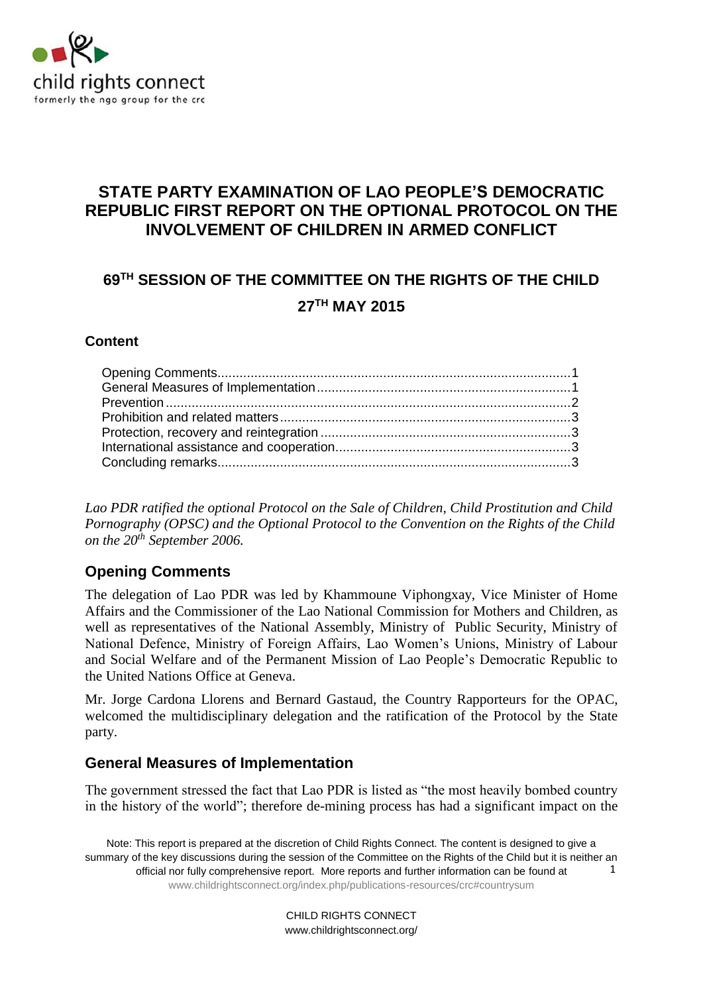

# **STATE PARTY EXAMINATION OF LAO PEOPLE'S DEMOCRATIC REPUBLIC FIRST REPORT ON THE OPTIONAL PROTOCOL ON THE INVOLVEMENT OF CHILDREN IN ARMED CONFLICT**

# **69 TH SESSION OF THE COMMITTEE ON THE RIGHTS OF THE CHILD 27TH MAY 2015**

#### **Content**

*Lao PDR ratified the optional Protocol on the Sale of Children, Child Prostitution and Child Pornography (OPSC) and the Optional Protocol to the Convention on the Rights of the Child on the 20th September 2006.* 

## <span id="page-0-0"></span>**Opening Comments**

The delegation of Lao PDR was led by Khammoune Viphongxay, Vice Minister of Home Affairs and the Commissioner of the Lao National Commission for Mothers and Children, as well as representatives of the National Assembly, Ministry of Public Security, Ministry of National Defence, Ministry of Foreign Affairs, Lao Women's Unions, Ministry of Labour and Social Welfare and of the Permanent Mission of Lao People's Democratic Republic to the United Nations Office at Geneva.

Mr. Jorge Cardona Llorens and Bernard Gastaud, the Country Rapporteurs for the OPAC, welcomed the multidisciplinary delegation and the ratification of the Protocol by the State party.

### <span id="page-0-1"></span>**General Measures of Implementation**

The government stressed the fact that Lao PDR is listed as "the most heavily bombed country in the history of the world"; therefore de-mining process has had a significant impact on the

Note: This report is prepared at the discretion of Child Rights Connect. The content is designed to give a summary of the key discussions during the session of the Committee on the Rights of the Child but it is neither an official nor fully comprehensive report. More reports and further information can be found at [www.childrightsconnect.org/index.php/publications-resources/crc#countrysum](http://www.childrightsconnect.org/index.php/publications-resources/crc#countrysum) 1

> CHILD RIGHTS CONNECT www.childrightsconnect.org/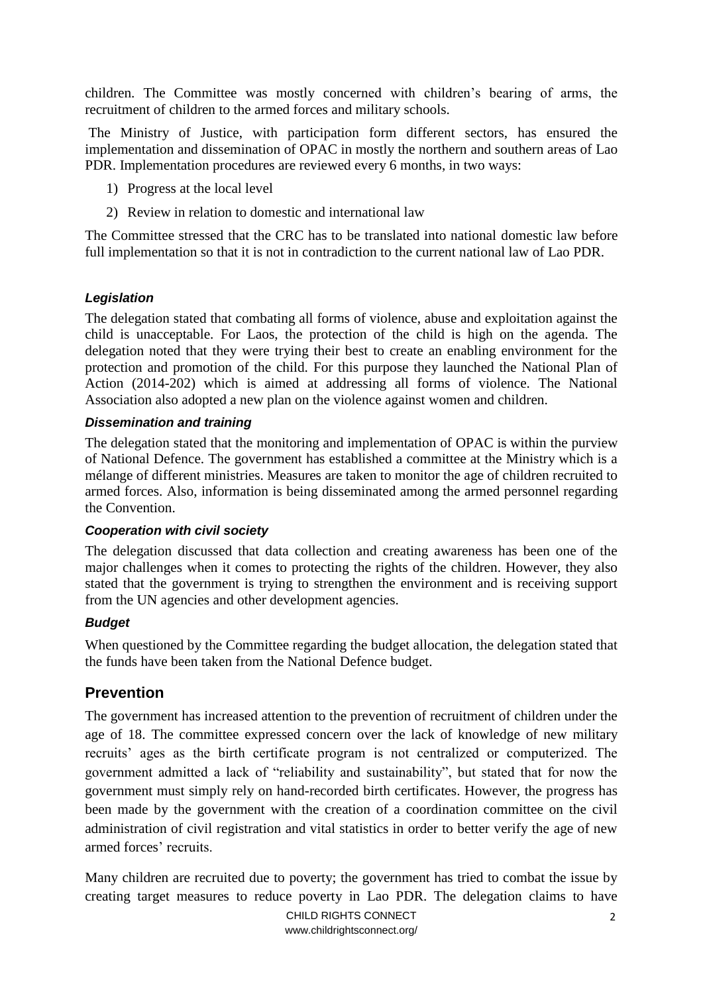children. The Committee was mostly concerned with children's bearing of arms, the recruitment of children to the armed forces and military schools.

The Ministry of Justice, with participation form different sectors, has ensured the implementation and dissemination of OPAC in mostly the northern and southern areas of Lao PDR. Implementation procedures are reviewed every 6 months, in two ways:

- 1) Progress at the local level
- 2) Review in relation to domestic and international law

The Committee stressed that the CRC has to be translated into national domestic law before full implementation so that it is not in contradiction to the current national law of Lao PDR.

#### *Legislation*

The delegation stated that combating all forms of violence, abuse and exploitation against the child is unacceptable. For Laos, the protection of the child is high on the agenda. The delegation noted that they were trying their best to create an enabling environment for the protection and promotion of the child. For this purpose they launched the National Plan of Action (2014-202) which is aimed at addressing all forms of violence. The National Association also adopted a new plan on the violence against women and children.

#### *Dissemination and training*

The delegation stated that the monitoring and implementation of OPAC is within the purview of National Defence. The government has established a committee at the Ministry which is a mélange of different ministries. Measures are taken to monitor the age of children recruited to armed forces. Also, information is being disseminated among the armed personnel regarding the Convention.

#### *Cooperation with civil society*

The delegation discussed that data collection and creating awareness has been one of the major challenges when it comes to protecting the rights of the children. However, they also stated that the government is trying to strengthen the environment and is receiving support from the UN agencies and other development agencies.

#### *Budget*

When questioned by the Committee regarding the budget allocation, the delegation stated that the funds have been taken from the National Defence budget.

## <span id="page-1-0"></span>**Prevention**

The government has increased attention to the prevention of recruitment of children under the age of 18. The committee expressed concern over the lack of knowledge of new military recruits' ages as the birth certificate program is not centralized or computerized. The government admitted a lack of "reliability and sustainability", but stated that for now the government must simply rely on hand-recorded birth certificates. However, the progress has been made by the government with the creation of a coordination committee on the civil administration of civil registration and vital statistics in order to better verify the age of new armed forces' recruits.

Many children are recruited due to poverty; the government has tried to combat the issue by creating target measures to reduce poverty in Lao PDR. The delegation claims to have